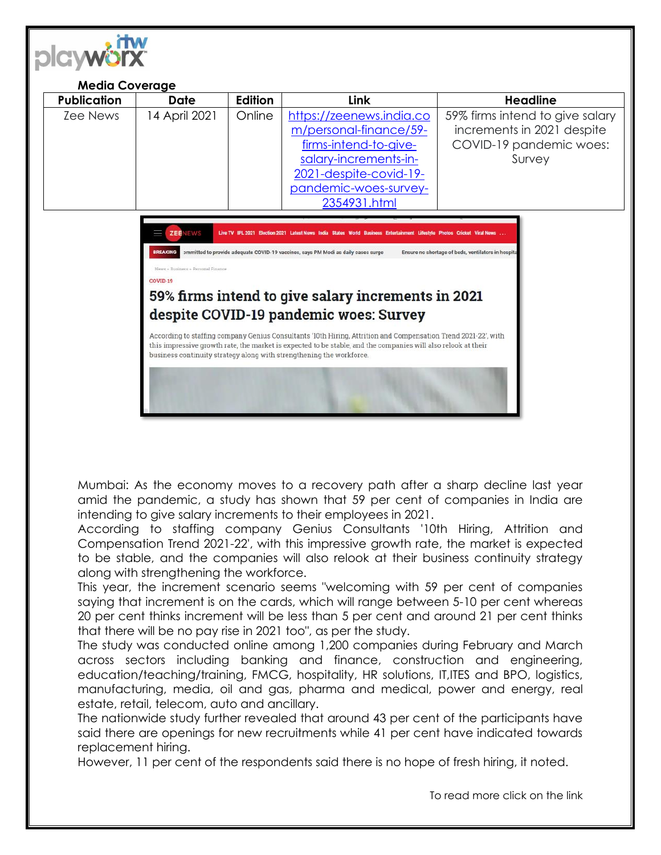

| <b>Media Coverage</b> |               |         |                                                                                                                                                                         |                                                                                                    |
|-----------------------|---------------|---------|-------------------------------------------------------------------------------------------------------------------------------------------------------------------------|----------------------------------------------------------------------------------------------------|
| <b>Publication</b>    | <b>Date</b>   | Edition | <b>Link</b>                                                                                                                                                             | <b>Headline</b>                                                                                    |
| Zee News              | 14 April 2021 | Online  | https://zeenews.india.co<br>m/personal-finance/59-<br>firms-intend-to-give-<br>salary-increments-in-<br>2021-despite-covid-19-<br>pandemic-woes-survey-<br>2354931.html | 59% firms intend to give salary<br>increments in 2021 despite<br>COVID-19 pandemic woes:<br>Survey |
|                       |               |         |                                                                                                                                                                         |                                                                                                    |

**Live TV IPL 2021 Flection 2021 Latest News** BREAKING >mmitted to provide adequate COVID-19 vaccines, says PM Modi as daily cases surge Ensure no shortage of beds, ventilators in hospit COVID-19 59% firms intend to give salary increments in 2021 despite COVID-19 pandemic woes: Survey According to staffing company Genius Consultants '10th Hiring, Attrition and Compensation Trend 2021-22', with this impressive growth rate, the market is expected to be stable, and the companies will also relook at their business continuity strategy along with strengthening the workforce.

Mumbai: As the economy moves to a recovery path after a sharp decline last year amid the pandemic, a study has shown that 59 per cent of companies in India are intending to give salary increments to their employees in 2021.

According to staffing company Genius Consultants '10th Hiring, Attrition and Compensation Trend 2021-22', with this impressive growth rate, the market is expected to be stable, and the companies will also relook at their business continuity strategy along with strengthening the workforce.

This year, the increment scenario seems "welcoming with 59 per cent of companies saying that increment is on the cards, which will range between 5-10 per cent whereas 20 per cent thinks increment will be less than 5 per cent and around 21 per cent thinks that there will be no pay rise in 2021 too", as per the study.

The study was conducted online among 1,200 companies during February and March across sectors including banking and finance, construction and engineering, education/teaching/training, FMCG, hospitality, HR solutions, IT,ITES and BPO, logistics, manufacturing, media, oil and gas, pharma and medical, power and energy, real estate, retail, telecom, auto and ancillary.

The nationwide study further revealed that around 43 per cent of the participants have said there are openings for new recruitments while 41 per cent have indicated towards replacement hiring.

However, 11 per cent of the respondents said there is no hope of fresh hiring, it noted.

To read more click on the link